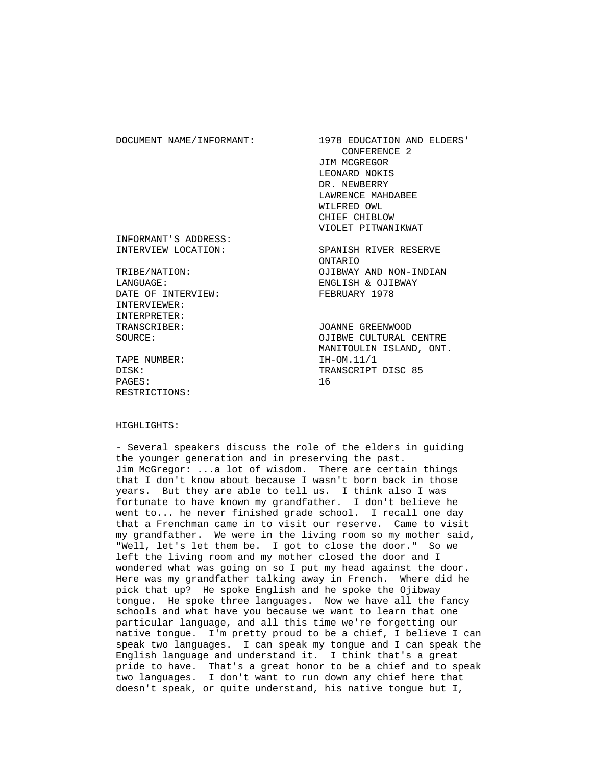DOCUMENT NAME/INFORMANT: 1978 EDUCATION AND ELDERS' CONFERENCE 2 JIM MCGREGOR LEONARD NOKIS DR. NEWBERRY LAWRENCE MAHDABEE WILFRED OWL CHIEF CHIBLOW VIOLET PITWANIKWAT INFORMANT'S ADDRESS: INTERVIEW LOCATION: SPANISH RIVER RESERVE ONTARIO<br>TRIBE/NATION: COLLENAY OJIBWAY AND NON-INDIAN LANGUAGE: ENGLISH & OJIBWAY DATE OF INTERVIEW: FEBRUARY 1978 INTERVIEWER: INTERPRETER: TRANSCRIBER: JOANNE GREENWOOD SOURCE: OJIBWE CULTURAL CENTRE MANITOULIN ISLAND, ONT. TAPE NUMBER: IH-OM.11/1 DISK: TRANSCRIPT DISC 85

#### HIGHLIGHTS:

RESTRICTIONS:

PAGES: 16

 - Several speakers discuss the role of the elders in guiding the younger generation and in preserving the past. Jim McGregor: ...a lot of wisdom. There are certain things that I don't know about because I wasn't born back in those years. But they are able to tell us. I think also I was fortunate to have known my grandfather. I don't believe he went to... he never finished grade school. I recall one day that a Frenchman came in to visit our reserve. Came to visit my grandfather. We were in the living room so my mother said, "Well, let's let them be. I got to close the door." So we left the living room and my mother closed the door and I wondered what was going on so I put my head against the door. Here was my grandfather talking away in French. Where did he pick that up? He spoke English and he spoke the Ojibway tongue. He spoke three languages. Now we have all the fancy schools and what have you because we want to learn that one particular language, and all this time we're forgetting our native tongue. I'm pretty proud to be a chief, I believe I can speak two languages. I can speak my tongue and I can speak the English language and understand it. I think that's a great pride to have. That's a great honor to be a chief and to speak two languages. I don't want to run down any chief here that doesn't speak, or quite understand, his native tongue but I,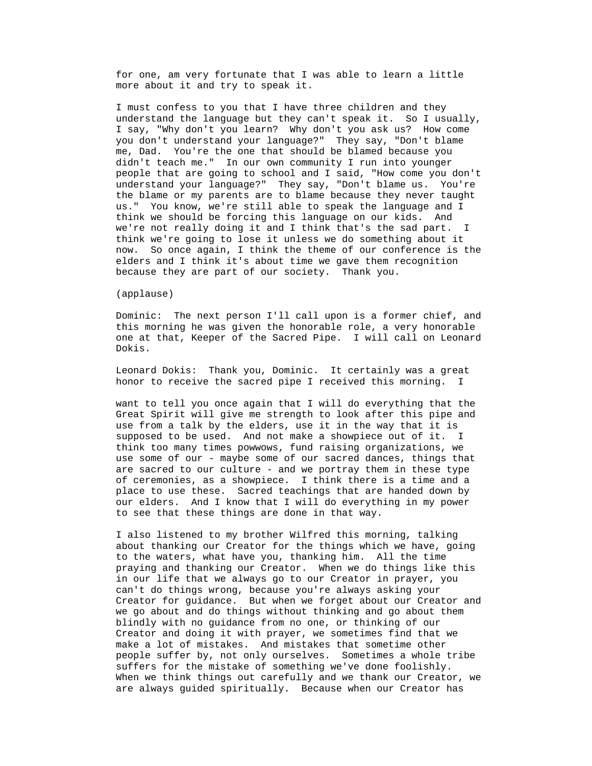for one, am very fortunate that I was able to learn a little more about it and try to speak it.

 I must confess to you that I have three children and they understand the language but they can't speak it. So I usually, I say, "Why don't you learn? Why don't you ask us? How come you don't understand your language?" They say, "Don't blame me, Dad. You're the one that should be blamed because you didn't teach me." In our own community I run into younger people that are going to school and I said, "How come you don't understand your language?" They say, "Don't blame us. You're the blame or my parents are to blame because they never taught us." You know, we're still able to speak the language and I think we should be forcing this language on our kids. And we're not really doing it and I think that's the sad part. I think we're going to lose it unless we do something about it now. So once again, I think the theme of our conference is the elders and I think it's about time we gave them recognition because they are part of our society. Thank you.

# (applause)

 Dominic: The next person I'll call upon is a former chief, and this morning he was given the honorable role, a very honorable one at that, Keeper of the Sacred Pipe. I will call on Leonard Dokis.

 Leonard Dokis: Thank you, Dominic. It certainly was a great honor to receive the sacred pipe I received this morning. I

 want to tell you once again that I will do everything that the Great Spirit will give me strength to look after this pipe and use from a talk by the elders, use it in the way that it is supposed to be used. And not make a showpiece out of it. I think too many times powwows, fund raising organizations, we use some of our - maybe some of our sacred dances, things that are sacred to our culture - and we portray them in these type of ceremonies, as a showpiece. I think there is a time and a place to use these. Sacred teachings that are handed down by our elders. And I know that I will do everything in my power to see that these things are done in that way.

 I also listened to my brother Wilfred this morning, talking about thanking our Creator for the things which we have, going to the waters, what have you, thanking him. All the time praying and thanking our Creator. When we do things like this in our life that we always go to our Creator in prayer, you can't do things wrong, because you're always asking your Creator for guidance. But when we forget about our Creator and we go about and do things without thinking and go about them blindly with no guidance from no one, or thinking of our Creator and doing it with prayer, we sometimes find that we make a lot of mistakes. And mistakes that sometime other people suffer by, not only ourselves. Sometimes a whole tribe suffers for the mistake of something we've done foolishly. When we think things out carefully and we thank our Creator, we are always guided spiritually. Because when our Creator has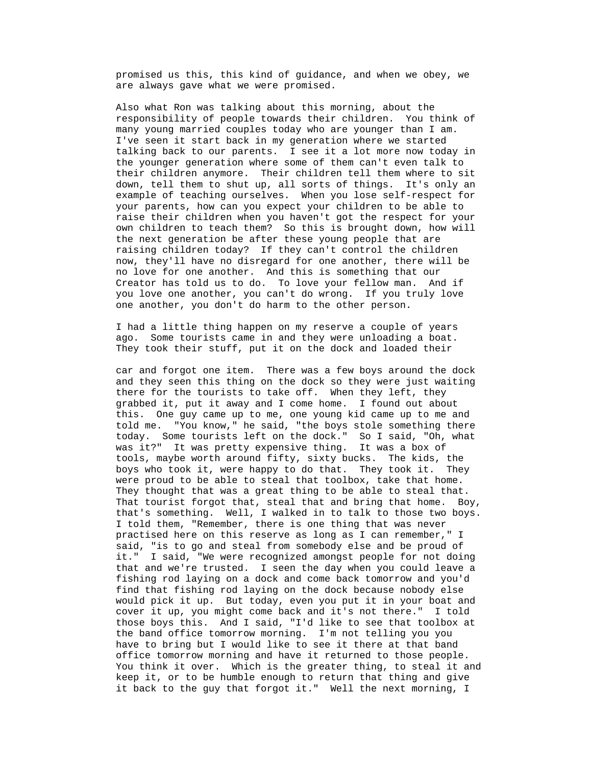promised us this, this kind of guidance, and when we obey, we are always gave what we were promised.

 Also what Ron was talking about this morning, about the responsibility of people towards their children. You think of many young married couples today who are younger than I am. I've seen it start back in my generation where we started talking back to our parents. I see it a lot more now today in the younger generation where some of them can't even talk to their children anymore. Their children tell them where to sit down, tell them to shut up, all sorts of things. It's only an example of teaching ourselves. When you lose self-respect for your parents, how can you expect your children to be able to raise their children when you haven't got the respect for your own children to teach them? So this is brought down, how will the next generation be after these young people that are raising children today? If they can't control the children now, they'll have no disregard for one another, there will be no love for one another. And this is something that our Creator has told us to do. To love your fellow man. And if you love one another, you can't do wrong. If you truly love one another, you don't do harm to the other person.

 I had a little thing happen on my reserve a couple of years ago. Some tourists came in and they were unloading a boat. They took their stuff, put it on the dock and loaded their

 car and forgot one item. There was a few boys around the dock and they seen this thing on the dock so they were just waiting there for the tourists to take off. When they left, they grabbed it, put it away and I come home. I found out about this. One guy came up to me, one young kid came up to me and told me. "You know," he said, "the boys stole something there today. Some tourists left on the dock." So I said, "Oh, what was it?" It was pretty expensive thing. It was a box of tools, maybe worth around fifty, sixty bucks. The kids, the boys who took it, were happy to do that. They took it. They were proud to be able to steal that toolbox, take that home. They thought that was a great thing to be able to steal that. That tourist forgot that, steal that and bring that home. Boy, that's something. Well, I walked in to talk to those two boys. I told them, "Remember, there is one thing that was never practised here on this reserve as long as I can remember," I said, "is to go and steal from somebody else and be proud of it." I said, "We were recognized amongst people for not doing that and we're trusted. I seen the day when you could leave a fishing rod laying on a dock and come back tomorrow and you'd find that fishing rod laying on the dock because nobody else would pick it up. But today, even you put it in your boat and cover it up, you might come back and it's not there." I told those boys this. And I said, "I'd like to see that toolbox at the band office tomorrow morning. I'm not telling you you have to bring but I would like to see it there at that band office tomorrow morning and have it returned to those people. You think it over. Which is the greater thing, to steal it and keep it, or to be humble enough to return that thing and give it back to the guy that forgot it." Well the next morning, I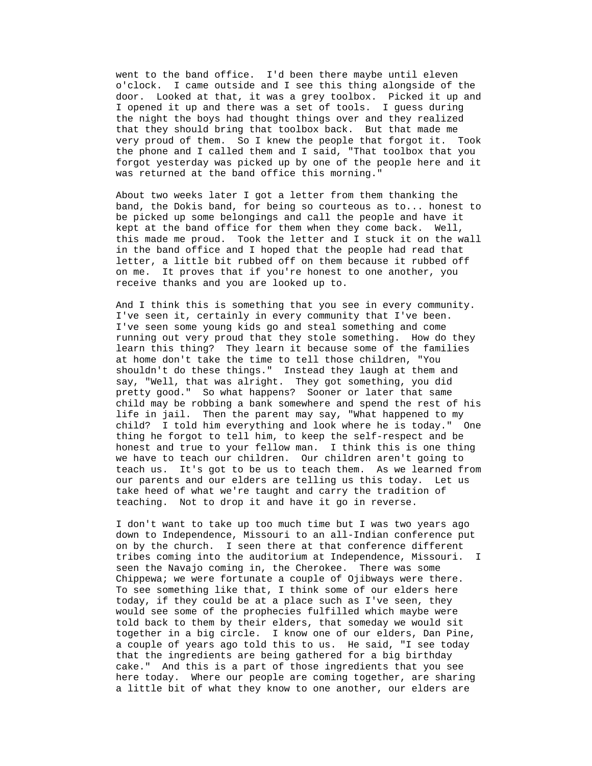went to the band office. I'd been there maybe until eleven o'clock. I came outside and I see this thing alongside of the door. Looked at that, it was a grey toolbox. Picked it up and I opened it up and there was a set of tools. I guess during the night the boys had thought things over and they realized that they should bring that toolbox back. But that made me very proud of them. So I knew the people that forgot it. Took the phone and I called them and I said, "That toolbox that you forgot yesterday was picked up by one of the people here and it was returned at the band office this morning."

 About two weeks later I got a letter from them thanking the band, the Dokis band, for being so courteous as to... honest to be picked up some belongings and call the people and have it kept at the band office for them when they come back. Well, this made me proud. Took the letter and I stuck it on the wall in the band office and I hoped that the people had read that letter, a little bit rubbed off on them because it rubbed off on me. It proves that if you're honest to one another, you receive thanks and you are looked up to.

 And I think this is something that you see in every community. I've seen it, certainly in every community that I've been. I've seen some young kids go and steal something and come running out very proud that they stole something. How do they learn this thing? They learn it because some of the families at home don't take the time to tell those children, "You shouldn't do these things." Instead they laugh at them and say, "Well, that was alright. They got something, you did pretty good." So what happens? Sooner or later that same child may be robbing a bank somewhere and spend the rest of his life in jail. Then the parent may say, "What happened to my child? I told him everything and look where he is today." One thing he forgot to tell him, to keep the self-respect and be honest and true to your fellow man. I think this is one thing we have to teach our children. Our children aren't going to teach us. It's got to be us to teach them. As we learned from our parents and our elders are telling us this today. Let us take heed of what we're taught and carry the tradition of teaching. Not to drop it and have it go in reverse.

 I don't want to take up too much time but I was two years ago down to Independence, Missouri to an all-Indian conference put on by the church. I seen there at that conference different tribes coming into the auditorium at Independence, Missouri. I seen the Navajo coming in, the Cherokee. There was some Chippewa; we were fortunate a couple of Ojibways were there. To see something like that, I think some of our elders here today, if they could be at a place such as I've seen, they would see some of the prophecies fulfilled which maybe were told back to them by their elders, that someday we would sit together in a big circle. I know one of our elders, Dan Pine, a couple of years ago told this to us. He said, "I see today that the ingredients are being gathered for a big birthday cake." And this is a part of those ingredients that you see here today. Where our people are coming together, are sharing a little bit of what they know to one another, our elders are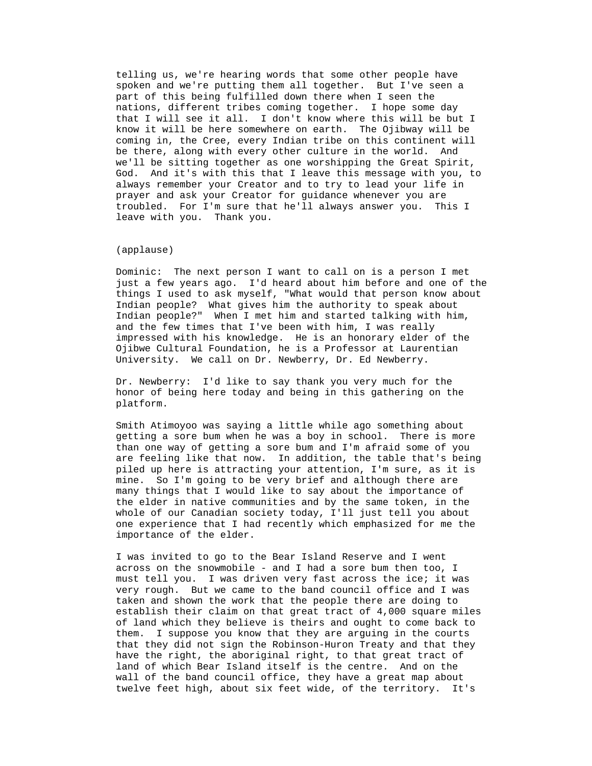telling us, we're hearing words that some other people have spoken and we're putting them all together. But I've seen a part of this being fulfilled down there when I seen the nations, different tribes coming together. I hope some day we'll be sitting together as one worshipping the Great Spirit, troubled. For I'm sure that he'll always answer you. This I that I will see it all. I don't know where this will be but I know it will be here somewhere on earth. The Ojibway will be coming in, the Cree, every Indian tribe on this continent will be there, along with every other culture in the world. And God. And it's with this that I leave this message with you, to always remember your Creator and to try to lead your life in prayer and ask your Creator for guidance whenever you are leave with you. Thank you.

## (applause)

Dominic: The next person I want to call on is a person I met impressed with his knowledge. He is an honorary elder of the just a few years ago. I'd heard about him before and one of the things I used to ask myself, "What would that person know about Indian people? What gives him the authority to speak about Indian people?" When I met him and started talking with him, and the few times that I've been with him, I was really Ojibwe Cultural Foundation, he is a Professor at Laurentian University. We call on Dr. Newberry, Dr. Ed Newberry.

Dr. Newberry: I'd like to say thank you very much for the honor of being here today and being in this gathering on the platform.

Smith Atimoyoo was saying a little while ago something about getting a sore bum when he was a boy in school. There is more than one way of getting a sore bum and I'm afraid some of you are feeling like that now. In addition, the table that's being piled up here is attracting your attention, I'm sure, as it is mine. So I'm going to be very brief and although there are many things that I would like to say about the importance of the elder in native communities and by the same token, in the whole of our Canadian society today, I'll just tell you about one experience that I had recently which emphasized for me the importance of the elder.

I was invited to go to the Bear Island Reserve and I went establish their claim on that great tract of 4,000 square miles across on the snowmobile - and I had a sore bum then too, I must tell you. I was driven very fast across the ice; it was very rough. But we came to the band council office and I was taken and shown the work that the people there are doing to of land which they believe is theirs and ought to come back to them. I suppose you know that they are arguing in the courts that they did not sign the Robinson-Huron Treaty and that they have the right, the aboriginal right, to that great tract of land of which Bear Island itself is the centre. And on the wall of the band council office, they have a great map about twelve feet high, about six feet wide, of the territory. It's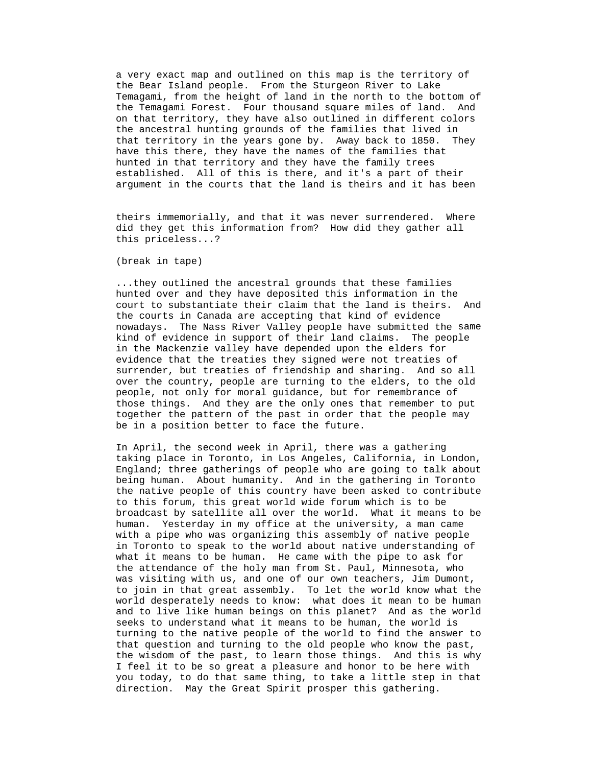a very exact map and outlined on this map is the territory of the Bear Island people. From the Sturgeon River to Lake Temagami, from the height of land in the north to the bottom of They established. All of this is there, and it's a part of their the Temagami Forest. Four thousand square miles of land. And on that territory, they have also outlined in different colors the ancestral hunting grounds of the families that lived in that territory in the years gone by. Away back to 1850. have this there, they have the names of the families that hunted in that territory and they have the family trees argument in the courts that the land is theirs and it has been

> theirs immemorially, and that it was never surrendered. Where did they get this information from? How did they gather all this priceless...?

(break in tape)

And nowadays. The Nass River Valley people have submitted the same surrender, but treaties of friendship and sharing. And so all those things. And they are the only ones that remember to put ...they outlined the ancestral grounds that these families hunted over and they have deposited this information in the court to substantiate their claim that the land is theirs. the courts in Canada are accepting that kind of evidence kind of evidence in support of their land claims. The people in the Mackenzie valley have depended upon the elders for evidence that the treaties they signed were not treaties of over the country, people are turning to the elders, to the old people, not only for moral guidance, but for remembrance of together the pattern of the past in order that the people may be in a position better to face the future.

In April, the second week in April, there was a gathering taking place in Toronto, in Los Angeles, California, in London, turning to the native people of the world to find the answer to England; three gatherings of people who are going to talk about being human. About humanity. And in the gathering in Toronto the native people of this country have been asked to contribute to this forum, this great world wide forum which is to be broadcast by satellite all over the world. What it means to be human. Yesterday in my office at the university, a man came with a pipe who was organizing this assembly of native people in Toronto to speak to the world about native understanding of what it means to be human. He came with the pipe to ask for the attendance of the holy man from St. Paul, Minnesota, who was visiting with us, and one of our own teachers, Jim Dumont, to join in that great assembly. To let the world know what the world desperately needs to know: what does it mean to be human and to live like human beings on this planet? And as the world seeks to understand what it means to be human, the world is that question and turning to the old people who know the past, the wisdom of the past, to learn those things. And this is why I feel it to be so great a pleasure and honor to be here with you today, to do that same thing, to take a little step in that direction. May the Great Spirit prosper this gathering.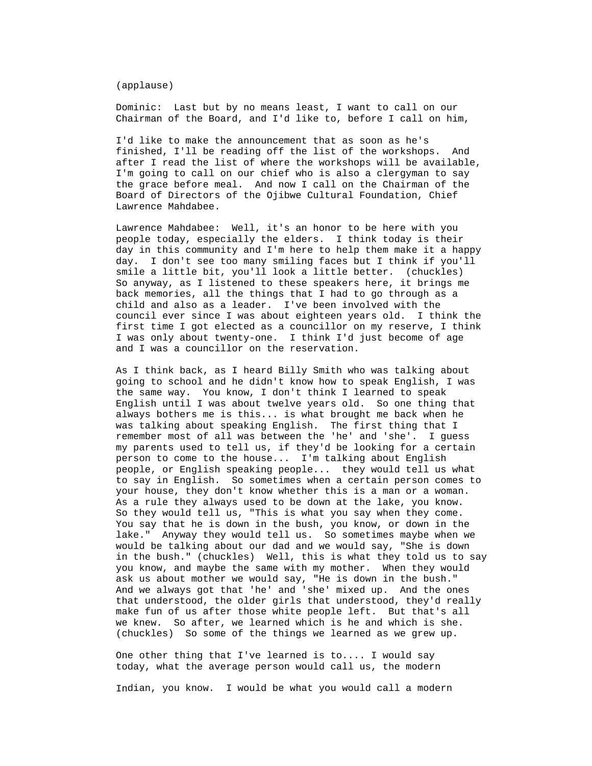(applause)

 Dominic: Last but by no means least, I want to call on our Chairman of the Board, and I'd like to, before I call on him,

I'd like to make the announcement that as soon as he's finished, I'll be reading off the list of the workshops. And after I read the list of where the workshops will be available, I'm going to call on our chief who is also a clergyman to say the grace before meal. And now I call on the Chairman of the Board of Directors of the Ojibwe Cultural Foundation, Chief Lawrence Mahdabee.

Lawrence Mahdabee: Well, it's an honor to be here with you people today, especially the elders. I think today is their day in this community and I'm here to help them make it a happy day. I don't see too many smiling faces but I think if you'll smile a little bit, you'll look a little better. (chuckles) So anyway, as I listened to these speakers here, it brings me back memories, all the things that I had to go through as a child and also as a leader. I've been involved with the council ever since I was about eighteen years old. I think the first time I got elected as a councillor on my reserve, I think I was only about twenty-one. I think I'd just become of age and I was a councillor on the reservation.

As I think back, as I heard Billy Smith who was talking about English until I was about twelve years old. So one thing that people, or English speaking people... they would tell us what in the bush." (chuckles) Well, this is what they told us to say going to school and he didn't know how to speak English, I was the same way. You know, I don't think I learned to speak always bothers me is this... is what brought me back when he was talking about speaking English. The first thing that I remember most of all was between the 'he' and 'she'. I guess my parents used to tell us, if they'd be looking for a certain person to come to the house... I'm talking about English to say in English. So sometimes when a certain person comes to your house, they don't know whether this is a man or a woman. As a rule they always used to be down at the lake, you know. So they would tell us, "This is what you say when they come. You say that he is down in the bush, you know, or down in the lake." Anyway they would tell us. So sometimes maybe when we would be talking about our dad and we would say, "She is down you know, and maybe the same with my mother. When they would ask us about mother we would say, "He is down in the bush." And we always got that 'he' and 'she' mixed up. And the ones that understood, the older girls that understood, they'd really make fun of us after those white people left. But that's all we knew. So after, we learned which is he and which is she. (chuckles) So some of the things we learned as we grew up.

> One other thing that I've learned is to.... I would say today, what the average person would call us, the modern

Indian, you know. I would be what you would call a modern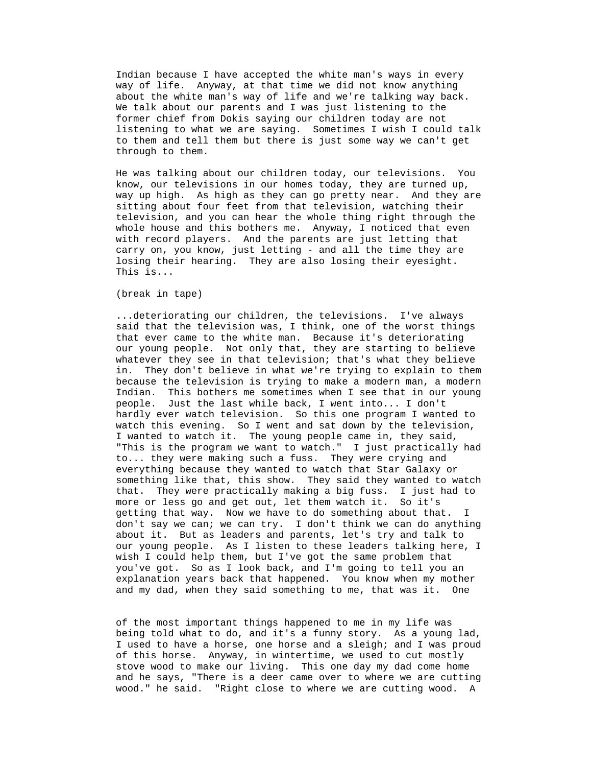Indian because I have accepted the white man's ways in every listening to what we are saying. Sometimes I wish I could talk way of life. Anyway, at that time we did not know anything about the white man's way of life and we're talking way back. We talk about our parents and I was just listening to the former chief from Dokis saying our children today are not to them and tell them but there is just some way we can't get through to them.

He was talking about our children today, our televisions. You know, our televisions in our homes today, they are turned up, way up high. As high as they can go pretty near. And they are sitting about four feet from that television, watching their television, and you can hear the whole thing right through the whole house and this bothers me. Anyway, I noticed that even with record players. And the parents are just letting that carry on, you know, just letting - and all the time they are losing their hearing. They are also losing their eyesight. This is...

(break in tape)

..deteriorating our children, the televisions. I've always said that the television was, I think, one of the worst things watch this evening. So I went and sat down by the television, that. They were practically making a big fuss. I just had to don't say we can; we can try. I don't think we can do anything . that ever came to the white man. Because it's deteriorating our young people. Not only that, they are starting to believe whatever they see in that television; that's what they believe in. They don't believe in what we're trying to explain to them because the television is trying to make a modern man, a modern Indian. This bothers me sometimes when I see that in our young people. Just the last while back, I went into... I don't hardly ever watch television. So this one program I wanted to I wanted to watch it. The young people came in, they said, "This is the program we want to watch." I just practically had to... they were making such a fuss. They were crying and everything because they wanted to watch that Star Galaxy or something like that, this show. They said they wanted to watch more or less go and get out, let them watch it. So it's getting that way. Now we have to do something about that. I about it. But as leaders and parents, let's try and talk to our young people. As I listen to these leaders talking here, I wish I could help them, but I've got the same problem that you've got. So as I look back, and I'm going to tell you an explanation years back that happened. You know when my mother and my dad, when they said something to me, that was it. One

of the most important things happened to me in my life was being told what to do, and it's a funny story. As a young lad, I used to have a horse, one horse and a sleigh; and I was proud of this horse. Anyway, in wintertime, we used to cut mostly stove wood to make our living. This one day my dad come home and he says, "There is a deer came over to where we are cutting wood." he said. "Right close to where we are cutting wood. A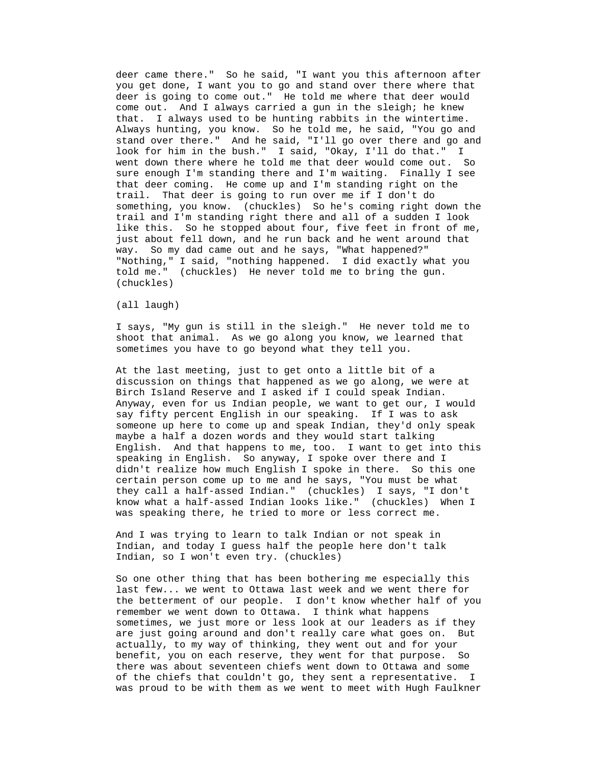deer came there." So he said, "I want you this afternoon after you get done, I want you to go and stand over there where that deer is going to come out." He told me where that deer would come out. And I always carried a gun in the sleigh; he knew that. I always used to be hunting rabbits in the wintertime. Always hunting, you know. So he told me, he said, "You go and something, you know. (chuckles) So he's coming right down the stand over there." And he said, "I'll go over there and go and look for him in the bush." I said, "Okay, I'll do that." I went down there where he told me that deer would come out. So sure enough I'm standing there and I'm waiting. Finally I see that deer coming. He come up and I'm standing right on the trail. That deer is going to run over me if I don't do trail and I'm standing right there and all of a sudden I look like this. So he stopped about four, five feet in front of me, just about fell down, and he run back and he went around that way. So my dad came out and he says, "What happened?" "Nothing," I said, "nothing happened. I did exactly what you told me." (chuckles) He never told me to bring the gun. (chuckles)

## (all laugh)

I says, "My gun is still in the sleigh." He never told me to shoot that animal. As we go along you know, we learned that sometimes you have to go beyond what they tell you.

At the last meeting, just to get onto a little bit of a discussion on things that happened as we go along, we were at know what a half-assed Indian looks like." (chuckles) When I Birch Island Reserve and I asked if I could speak Indian. Anyway, even for us Indian people, we want to get our, I would say fifty percent English in our speaking. If I was to ask someone up here to come up and speak Indian, they'd only speak maybe a half a dozen words and they would start talking English. And that happens to me, too. I want to get into this speaking in English. So anyway, I spoke over there and I didn't realize how much English I spoke in there. So this one certain person come up to me and he says, "You must be what they call a half-assed Indian." (chuckles) I says, "I don't was speaking there, he tried to more or less correct me.

> And I was trying to learn to talk Indian or not speak in Indian, and today I guess half the people here don't talk Indian, so I won't even try. (chuckles)

So one other thing that has been bothering me especially this last few... we went to Ottawa last week and we went there for are just going around and don't really care what goes on. But was proud to be with them as we went to meet with Hugh Faulkner the betterment of our people. I don't know whether half of you remember we went down to Ottawa. I think what happens sometimes, we just more or less look at our leaders as if they actually, to my way of thinking, they went out and for your benefit, you on each reserve, they went for that purpose. So there was about seventeen chiefs went down to Ottawa and some of the chiefs that couldn't go, they sent a representative. I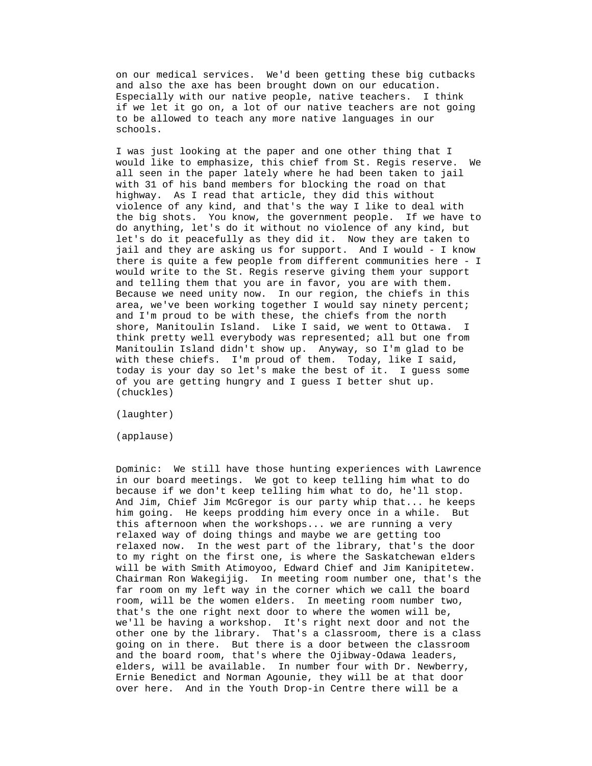on our medical services. We'd been getting these big cutbacks and also the axe has been brought down on our education. Especially with our native people, native teachers. I think if we let it go on, a lot of our native teachers are not going to be allowed to teach any more native languages in our schools.

 I was just looking at the paper and one other thing that I would like to emphasize, this chief from St. Regis reserve. We all seen in the paper lately where he had been taken to jail the big shots. You know, the government people. If we have to do anything, let's do it without no violence of any kind, but let's do it peacefully as they did it. Now they are taken to with 31 of his band members for blocking the road on that highway. As I read that article, they did this without violence of any kind, and that's the way I like to deal with jail and they are asking us for support. And I would - I know there is quite a few people from different communities here - I would write to the St. Regis reserve giving them your support and telling them that you are in favor, you are with them. Because we need unity now. In our region, the chiefs in this area, we've been working together I would say ninety percent; and I'm proud to be with these, the chiefs from the north shore, Manitoulin Island. Like I said, we went to Ottawa. I think pretty well everybody was represented; all but one from Manitoulin Island didn't show up. Anyway, so I'm glad to be with these chiefs. I'm proud of them. Today, like I said, today is your day so let's make the best of it. I guess some of you are getting hungry and I guess I better shut up. (chuckles)

(laughter)

(applause)

Dominic: We still have those hunting experiences with Lawrence in our board meetings. We got to keep telling him what to do because if we don't keep telling him what to do, he'll stop. And Jim, Chief Jim McGregor is our party whip that... he keeps will be with Smith Atimoyoo, Edward Chief and Jim Kanipitetew. Chairman Ron Wakegijig. In meeting room number one, that's the him going. He keeps prodding him every once in a while. But this afternoon when the workshops... we are running a very relaxed way of doing things and maybe we are getting too relaxed now. In the west part of the library, that's the door to my right on the first one, is where the Saskatchewan elders far room on my left way in the corner which we call the board room, will be the women elders. In meeting room number two, that's the one right next door to where the women will be, we'll be having a workshop. It's right next door and not the other one by the library. That's a classroom, there is a class going on in there. But there is a door between the classroom and the board room, that's where the Ojibway-Odawa leaders, elders, will be available. In number four with Dr. Newberry, Ernie Benedict and Norman Agounie, they will be at that door over here. And in the Youth Drop-in Centre there will be a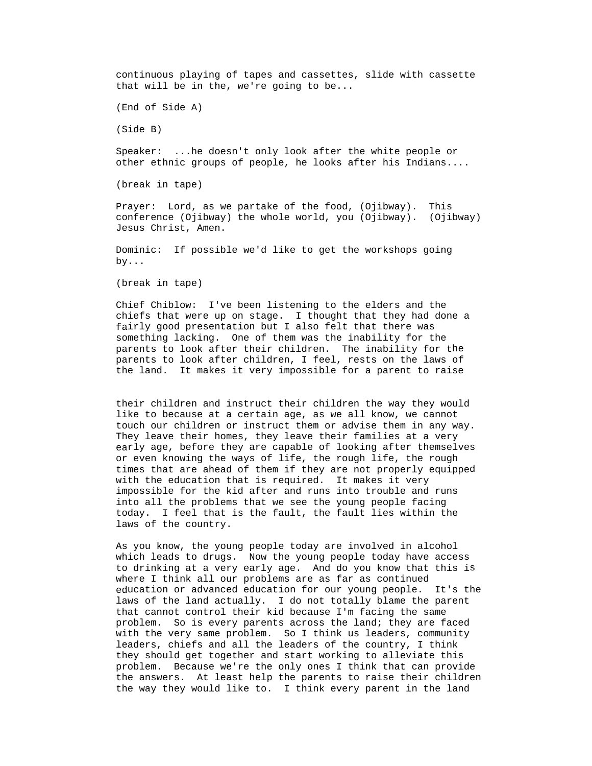continuous playing of tapes and cassettes, slide with cassette that will be in the, we're going to be...

(End of Side A)

(Side B)

Speaker: ...he doesn't only look after the white people or other ethnic groups of people, he looks after his Indians....

(break in tape)

Jesus Christ, Amen. Prayer: Lord, as we partake of the food, (Ojibway). This conference (Ojibway) the whole world, you (Ojibway). (Ojibway)

> Dominic: If possible we'd like to get the workshops going by...

(break in tape)

chiefs that were up on stage. I thought that they had done a fairly good presentation but I also felt that there was something lacking. One of them was the inability for the parents to look after their children. The inability for the parents to look after children, I feel, rests on the laws of Chief Chiblow: I've been listening to the elders and the the land. It makes it very impossible for a parent to raise

They leave their homes, they leave their families at a very early age, before they are capable of looking after themselves times that are ahead of them if they are not properly equipped their children and instruct their children the way they would like to because at a certain age, as we all know, we cannot touch our children or instruct them or advise them in any way. or even knowing the ways of life, the rough life, the rough with the education that is required. It makes it very impossible for the kid after and runs into trouble and runs into all the problems that we see the young people facing today. I feel that is the fault, the fault lies within the laws of the country.

which leads to drugs. Now the young people today have access to drinking at a very early age. And do you know that this is education or advanced education for our young people. It's the with the very same problem. So I think us leaders, community problem. Because we're the only ones I think that can provide As you know, the young people today are involved in alcohol where I think all our problems are as far as continued laws of the land actually. I do not totally blame the parent that cannot control their kid because I'm facing the same problem. So is every parents across the land; they are faced leaders, chiefs and all the leaders of the country, I think they should get together and start working to alleviate this the answers. At least help the parents to raise their children the way they would like to. I think every parent in the land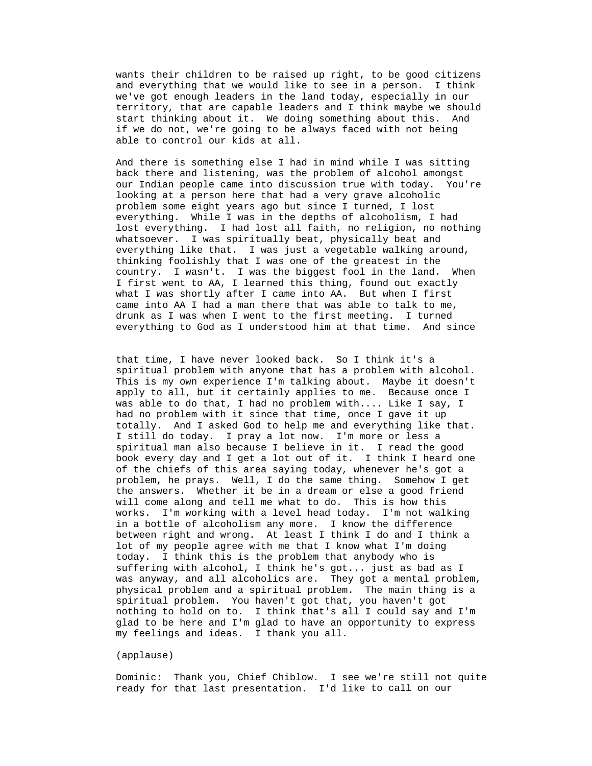wants their children to be raised up right, to be good citizens and everything that we would like to see in a person. I think we've got enough leaders in the land today, especially in our territory, that are capable leaders and I think maybe we should start thinking about it. We doing something about this. And if we do not, we're going to be always faced with not being able to control our kids at all.

our Indian people came into discussion true with today. You're looking at a person here that had a very grave alcoholic problem some eight years ago but since I turned, I lost lost everything. I had lost all faith, no religion, no nothing everything like that. I was just a vegetable walking around, country. I wasn't. I was the biggest fool in the land. When And there is something else I had in mind while I was sitting back there and listening, was the problem of alcohol amongst everything. While I was in the depths of alcoholism, I had whatsoever. I was spiritually beat, physically beat and thinking foolishly that I was one of the greatest in the I first went to AA, I learned this thing, found out exactly what I was shortly after I came into AA. But when I first came into AA I had a man there that was able to talk to me, drunk as I was when I went to the first meeting. I turned everything to God as I understood him at that time. And since

spiritual problem with anyone that has a problem with alcohol. apply to all, but it certainly applies to me. Because once I was able to do that, I had no problem with.... Like I say, I of the chiefs of this area saying today, whenever he's got a the answers. Whether it be in a dream or else a good friend was anyway, and all alcoholics are. They got a mental problem, nothing to hold on to. I think that's all I could say and I'm that time, I have never looked back. So I think it's a This is my own experience I'm talking about. Maybe it doesn't had no problem with it since that time, once I gave it up totally. And I asked God to help me and everything like that. I still do today. I pray a lot now. I'm more or less a spiritual man also because I believe in it. I read the good book every day and I get a lot out of it. I think I heard one problem, he prays. Well, I do the same thing. Somehow I get will come along and tell me what to do. This is how this works. I'm working with a level head today. I'm not walking in a bottle of alcoholism any more. I know the difference between right and wrong. At least I think I do and I think a lot of my people agree with me that I know what I'm doing today. I think this is the problem that anybody who is suffering with alcohol, I think he's got... just as bad as I physical problem and a spiritual problem. The main thing is a spiritual problem. You haven't got that, you haven't got glad to be here and I'm glad to have an opportunity to express my feelings and ideas. I thank you all.

#### (applause)

ready for that last presentation. I'd like to call on our Dominic: Thank you, Chief Chiblow. I see we're still not quite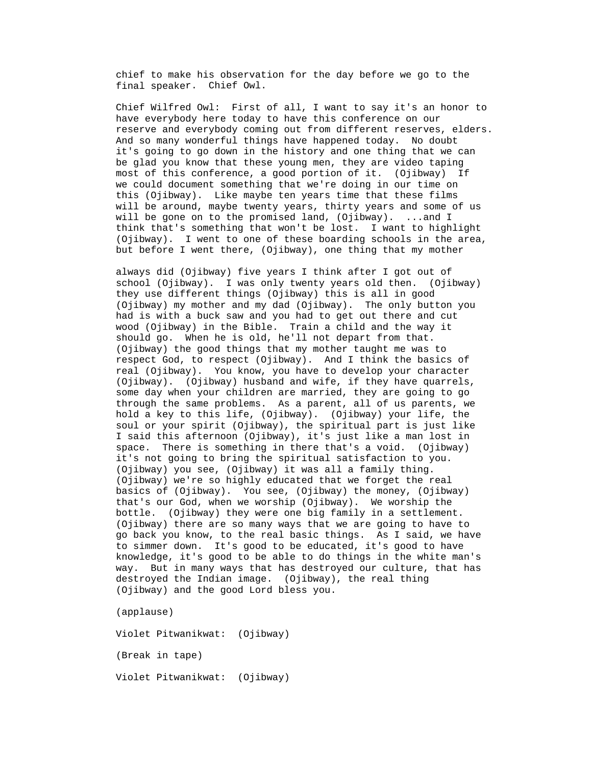chief to make his observation for the day before we go to the final speaker. Chief Owl.

reserve and everybody coming out from different reserves, elders. And so many wonderful things have happened today. No doubt most of this conference, a good portion of it. (Ojibway) If (Ojibway). I went to one of these boarding schools in the area, Chief Wilfred Owl: First of all, I want to say it's an honor to have everybody here today to have this conference on our it's going to go down in the history and one thing that we can be glad you know that these young men, they are video taping we could document something that we're doing in our time on this (Ojibway). Like maybe ten years time that these films will be around, maybe twenty years, thirty years and some of us will be gone on to the promised land, (Ojibway). ...and I think that's something that won't be lost. I want to highlight but before I went there, (Ojibway), one thing that my mother

(Ojibway). (Ojibway) husband and wife, if they have quarrels, some day when your children are married, they are going to go through the same problems. As a parent, all of us parents, we (Ojibway) there are so many ways that we are going to have to go back you know, to the real basic things. As I said, we have knowledge, it's good to be able to do things in the white man's always did (Ojibway) five years I think after I got out of school (Ojibway). I was only twenty years old then. (Ojibway) they use different things (Ojibway) this is all in good (Ojibway) my mother and my dad (Ojibway). The only button you had is with a buck saw and you had to get out there and cut wood (Ojibway) in the Bible. Train a child and the way it should go. When he is old, he'll not depart from that. (Ojibway) the good things that my mother taught me was to respect God, to respect (Ojibway). And I think the basics of real (Ojibway). You know, you have to develop your character hold a key to this life, (Ojibway). (Ojibway) your life, the soul or your spirit (Ojibway), the spiritual part is just like I said this afternoon (Ojibway), it's just like a man lost in space. There is something in there that's a void. (Ojibway) it's not going to bring the spiritual satisfaction to you. (Ojibway) you see, (Ojibway) it was all a family thing. (Ojibway) we're so highly educated that we forget the real basics of (Ojibway). You see, (Ojibway) the money, (Ojibway) that's our God, when we worship (Ojibway). We worship the bottle. (Ojibway) they were one big family in a settlement. to simmer down. It's good to be educated, it's good to have way. But in many ways that has destroyed our culture, that has destroyed the Indian image. (Ojibway), the real thing (Ojibway) and the good Lord bless you.

(applause)

(Break in tape) Violet Pitwanikwat: (Ojibway) Violet Pitwanikwat: (Ojibway)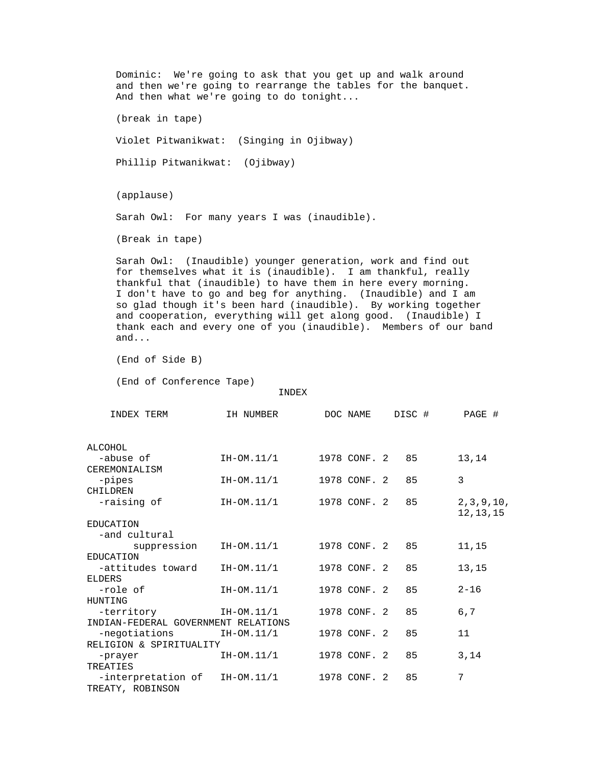Dominic: We're going to ask that you get up and walk around and then we're going to rearrange the tables for the banquet. And then what we're going to do tonight... Phillip Pitwanikwat: (Ojibway) Sarah Owl: For many years I was (inaudible). (Break in tape) Sarah Owl: (Inaudible) younger generation, work and find out for themselves what it is (inaudible). I am thankful, really thankful that (inaudible) to have them in here every morning. I don't have to go and beg for anything. (Inaudible) and I am so glad though it's been hard (inaudible). By working together thank each and every one of you (inaudible). Members of our band INDEX IH NUMBER DOC NAME DISC # PAGE # -abuse of TH-OM.11/1 1978 CONF. 2 85 13,14 CHILDREN IH-OM.11/1 1978 CONF. 2 85 2,3,9,10, 12, 13, 15 ,15  $2 - 16$  11 (break in tape) Violet Pitwanikwat: (Singing in Ojibway) (applause) and cooperation, everything will get along good. (Inaudible) I and... (End of Side B) (End of Conference Tape) INDEX TERM ALCOHOL CEREMONIALISM -pipes 1H-OM.11/1 1978 CONF. 2 85 3 -raisin 12,13,1 EDUCATION -and cultural suppression IH-OM.11/1 1978 CONF. 2 85 EDUCATION -attitudes toward IH-OM.11/1 1978 CONF. 2 85 13,15 ELDERS -role of TH-OM.11/1 1978 CONF. 2 85 HUNTING -territory 1H-OM.11/1 1978 CONF. 2 85 6,7 INDIAN-FEDERAL GOVERNMENT RELATIONS -negotiations IH-OM.11/1 1978 CONF. 2 85 RELIGION & SPIRITUALITY -prayer 1H-OM.11/1 1978 CONF. 2 85 3,14 TREATIES  $-$ interpretation of IH-OM.11/1 1978 CONF. 2 85 7 TREATY, ROBINSON